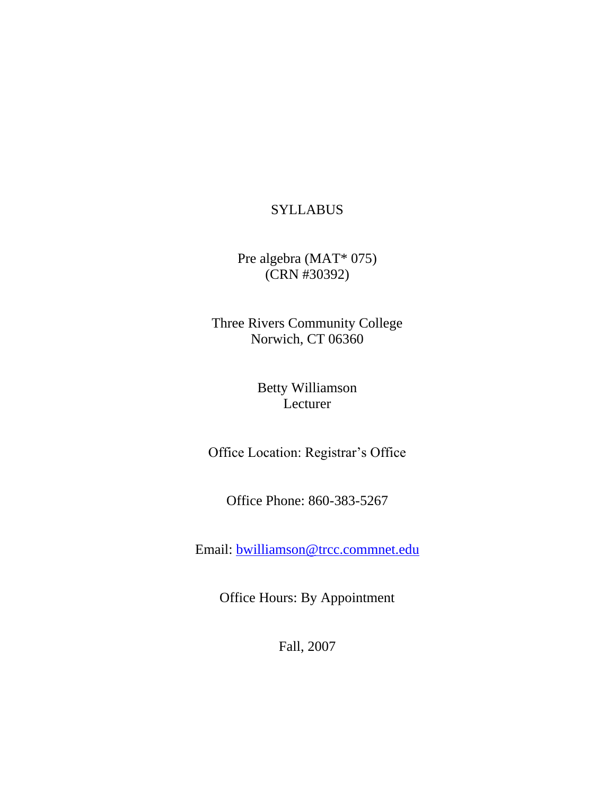### **SYLLABUS**

Pre algebra (MAT\* 075) (CRN #30392)

Three Rivers Community College Norwich, CT 06360

> Betty Williamson Lecturer

Office Location: Registrar's Office

Office Phone: 860-383-5267

Email: [bwilliamson@trcc.commnet.edu](mailto:bwilliamson@trcc.commnet.edu)

Office Hours: By Appointment

Fall, 2007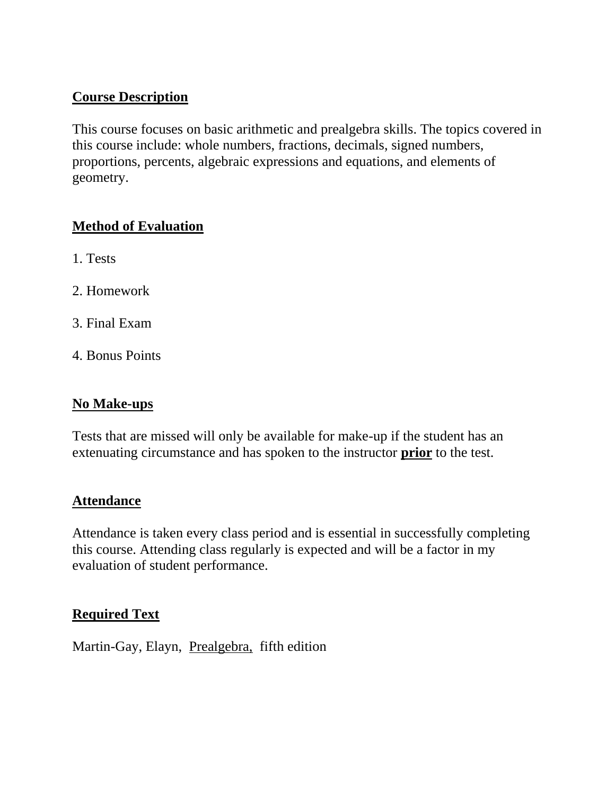### **Course Description**

This course focuses on basic arithmetic and prealgebra skills. The topics covered in this course include: whole numbers, fractions, decimals, signed numbers, proportions, percents, algebraic expressions and equations, and elements of geometry.

### **Method of Evaluation**

- 1. Tests
- 2. Homework
- 3. Final Exam
- 4. Bonus Points

### **No Make-ups**

Tests that are missed will only be available for make-up if the student has an extenuating circumstance and has spoken to the instructor **prior** to the test.

### **Attendance**

Attendance is taken every class period and is essential in successfully completing this course. Attending class regularly is expected and will be a factor in my evaluation of student performance.

### **Required Text**

Martin-Gay, Elayn, Prealgebra, fifth edition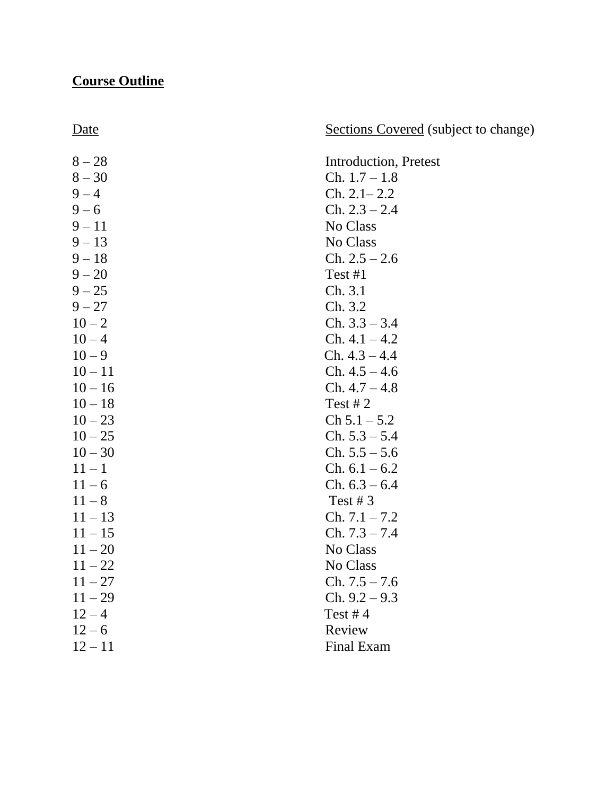# **Course Outline**

# Sections Covered (subject to change)

| $8 - 28$  | Introduction, Pretest |
|-----------|-----------------------|
| $8 - 30$  | $Ch. 1.7 - 1.8$       |
| $9 - 4$   | $Ch. 2.1 - 2.2$       |
| $9 - 6$   | $Ch. 2.3 - 2.4$       |
| $9 - 11$  | No Class              |
| $9 - 13$  | No Class              |
| $9 - 18$  | $Ch. 2.5 - 2.6$       |
| $9 - 20$  | Test #1               |
| $9 - 25$  | Ch. 3.1               |
| $9 - 27$  | Ch. 3.2               |
| $10 - 2$  | $Ch. 3.3 - 3.4$       |
| $10 - 4$  | $Ch. 4.1 - 4.2$       |
| $10 - 9$  | $Ch. 4.3 - 4.4$       |
| $10 - 11$ | $Ch. 4.5 - 4.6$       |
| $10 - 16$ | $Ch. 4.7 - 4.8$       |
| $10 - 18$ | Test # $2$            |
| $10 - 23$ | $Ch 5.1 - 5.2$        |
| $10 - 25$ | $Ch. 5.3 - 5.4$       |
| $10 - 30$ | $Ch. 5.5 - 5.6$       |
| $11 - 1$  | Ch. $6.1 - 6.2$       |
| $11 - 6$  | $Ch. 6.3 - 6.4$       |
| $11 - 8$  | Test # $3$            |
| $11 - 13$ | $Ch. 7.1 - 7.2$       |
| $11 - 15$ | $Ch. 7.3 - 7.4$       |
| $11 - 20$ | No Class              |
| $11 - 22$ | No Class              |
| $11 - 27$ | $Ch. 7.5 - 7.6$       |
| $11 - 29$ | $Ch. 9.2 - 9.3$       |
| $12 - 4$  | Test #4               |
| $12 - 6$  | Review                |
| $12 - 11$ | <b>Final Exam</b>     |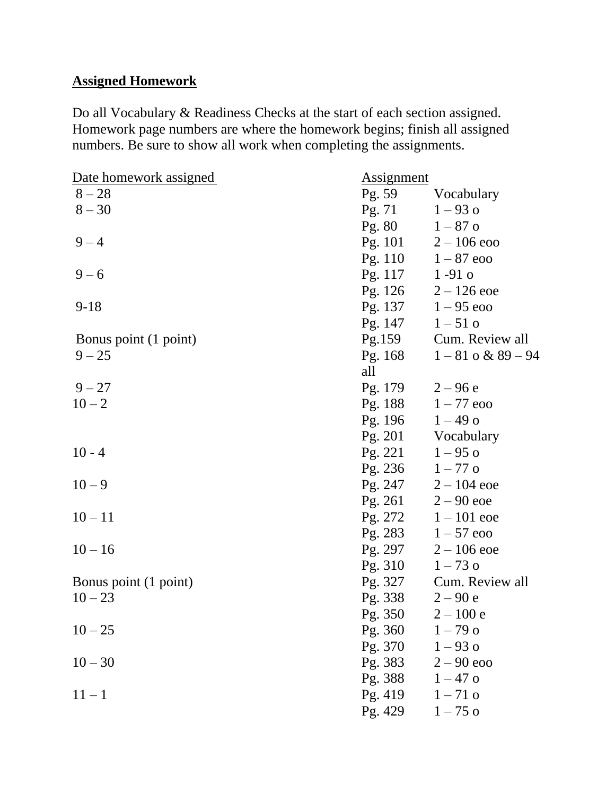# **Assigned Homework**

Do all Vocabulary & Readiness Checks at the start of each section assigned. Homework page numbers are where the homework begins; finish all assigned numbers. Be sure to show all work when completing the assignments.

| Date homework assigned | <b>Assignment</b> |                        |
|------------------------|-------------------|------------------------|
| $8 - 28$               | Pg. 59            | Vocabulary             |
| $8 - 30$               | Pg. 71            | $1 - 93$ o             |
|                        | Pg. 80 $1-87$ o   |                        |
| $9 - 4$                |                   | Pg. 101 $2-106$ eoo    |
|                        |                   | Pg. 110 $1-87$ eoo     |
| $9 - 6$                | Pg. 117 1 -91 o   |                        |
|                        |                   | Pg. 126 $2 - 126$ eoe  |
| $9 - 18$               | Pg. 137           | $1 - 95$ eoo           |
|                        | Pg. 147           | $1 - 51$ o             |
| Bonus point (1 point)  | Pg.159            | Cum. Review all        |
| $9 - 25$               | Pg. 168           | $1 - 81$ o & $89 - 94$ |
|                        | all               |                        |
| $9 - 27$               | Pg. 179 $2-96e$   |                        |
| $10 - 2$               |                   | Pg. 188 $1-77$ eoo     |
|                        | Pg. 196 $1-49$ o  |                        |
|                        |                   | Pg. 201 Vocabulary     |
| $10 - 4$               | Pg. 221           | $1 - 95$ o             |
|                        | Pg. 236 $1-77$ o  |                        |
| $10 - 9$               | Pg. 247           | $2 - 104$ eoe          |
|                        |                   | Pg. 261 $2-90$ eoe     |
| $10 - 11$              | Pg. 272           | $1 - 101$ eoe          |
|                        | Pg. 283           | $1 - 57$ eoo           |
| $10 - 16$              | Pg. 297           | $2 - 106$ eoe          |
|                        | Pg. 310           | $1 - 73$ o             |
| Bonus point (1 point)  | Pg. 327           | Cum. Review all        |
| $10 - 23$              | Pg. 338           | $2 - 90 e$             |
|                        | Pg. 350           | $2 - 100 e$            |
| $10 - 25$              | Pg. 360           | $1 - 79$ o             |
|                        | Pg. 370           | $1 - 93$ o             |
| $10 - 30$              | Pg. 383           | $2 - 90$ eoo           |
|                        | Pg. 388           | $1 - 47$ o             |
| $11 - 1$               | Pg. 419           | $1 - 71$ o             |
|                        | Pg. 429           | $1 - 75$ o             |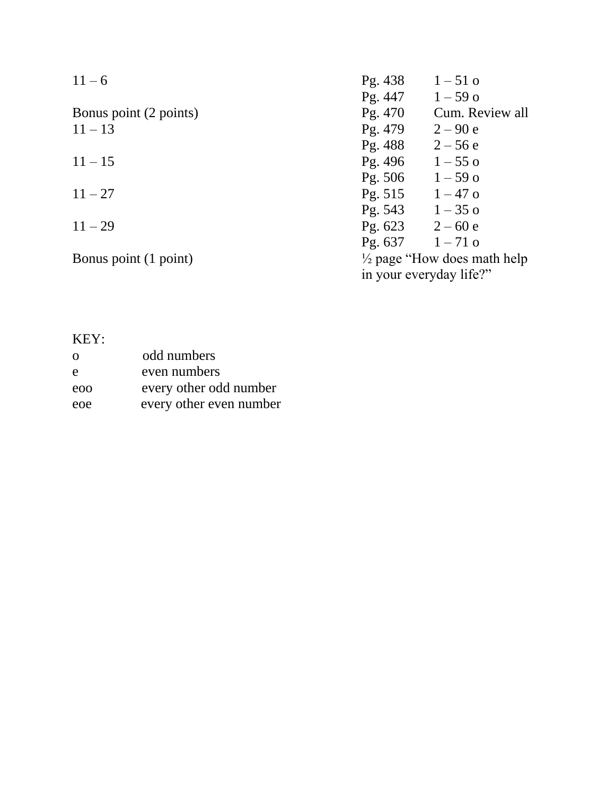| $11 - 6$               | Pg. 438<br>$1 - 51$ o                   |
|------------------------|-----------------------------------------|
|                        | Pg. 447<br>$1 - 59$ o                   |
| Bonus point (2 points) | Cum. Review all<br>Pg. 470              |
| $11 - 13$              | Pg. 479<br>$2 - 90 e$                   |
|                        | Pg. 488<br>$2 - 56e$                    |
| $11 - 15$              | Pg. 496<br>$1 - 55$ o                   |
|                        | Pg. 506<br>$1 - 59$ o                   |
| $11 - 27$              | Pg. 515<br>$1 - 47$ o                   |
|                        | Pg. 543<br>$1 - 35$ o                   |
| $11 - 29$              | Pg. $623$ 2 – 60 e                      |
|                        | Pg. 637<br>$1 - 71$ o                   |
| Bonus point (1 point)  | $\frac{1}{2}$ page "How does math help" |
|                        | in your everyday life?"                 |

# KEY:

| $\Omega$ | odd numbers             |
|----------|-------------------------|
| e        | even numbers            |
| eoo      | every other odd number  |
| eoe      | every other even number |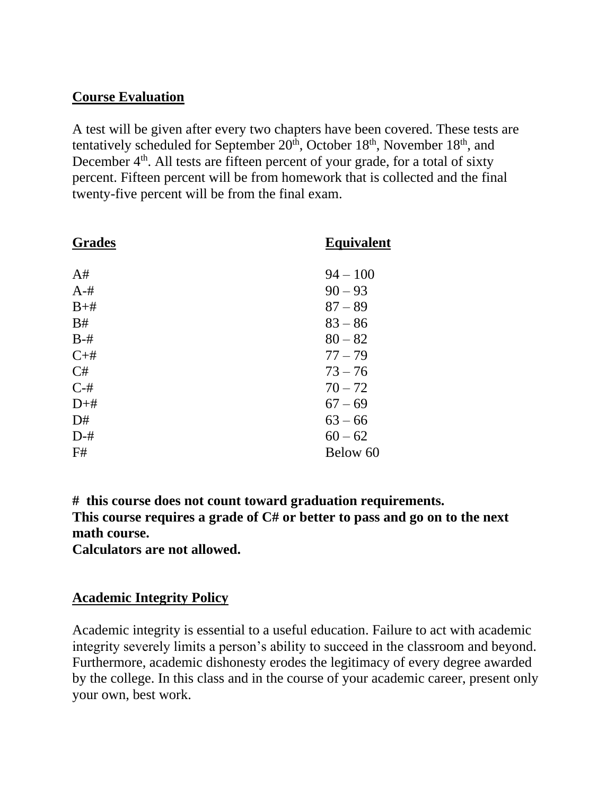### **Course Evaluation**

A test will be given after every two chapters have been covered. These tests are tentatively scheduled for September  $20<sup>th</sup>$ , October  $18<sup>th</sup>$ , November  $18<sup>th</sup>$ , and December 4<sup>th</sup>. All tests are fifteen percent of your grade, for a total of sixty percent. Fifteen percent will be from homework that is collected and the final twenty-five percent will be from the final exam.

| <b>Grades</b> | <b>Equivalent</b> |
|---------------|-------------------|
| A#            | $94 - 100$        |
| $A - H$       | $90 - 93$         |
| $B+#$         | $87 - 89$         |
| B#            | $83 - 86$         |
| $B-#$         | $80 - 82$         |
| $C+#$         | $77 - 79$         |
| C#            | $73 - 76$         |
| $C-#$         | $70 - 72$         |
| $D+#$         | $67 - 69$         |
| D#            | $63 - 66$         |
| $D-#$         | $60 - 62$         |
| F#            | Below 60          |

**# this course does not count toward graduation requirements.**

**This course requires a grade of C# or better to pass and go on to the next math course.**

**Calculators are not allowed.** 

#### **Academic Integrity Policy**

Academic integrity is essential to a useful education. Failure to act with academic integrity severely limits a person's ability to succeed in the classroom and beyond. Furthermore, academic dishonesty erodes the legitimacy of every degree awarded by the college. In this class and in the course of your academic career, present only your own, best work.